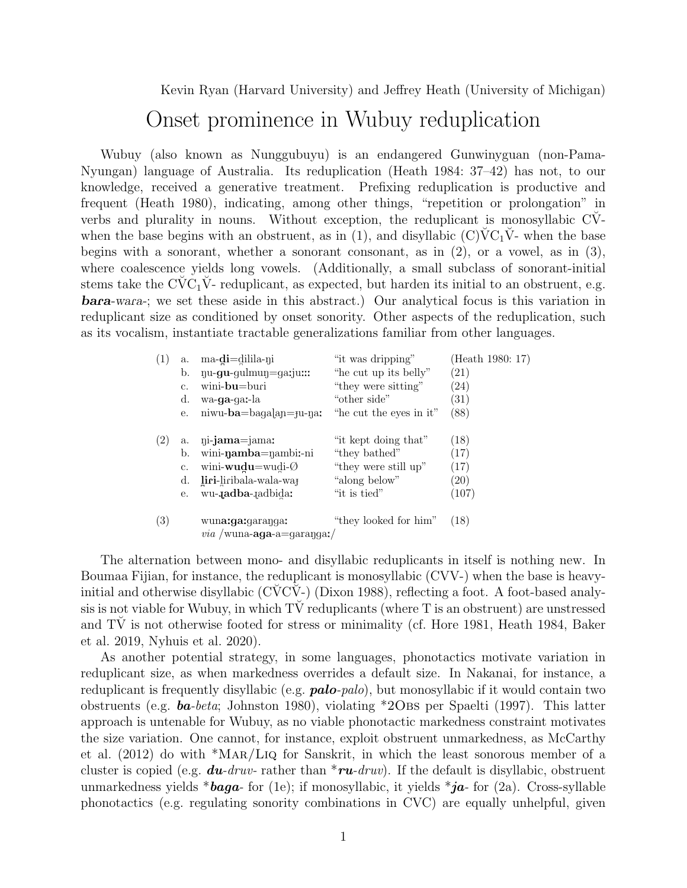Kevin Ryan (Harvard University) and Jeffrey Heath (University of Michigan)

## Onset prominence in Wubuy reduplication

Wubuy (also known as Nunggubuyu) is an endangered Gunwinyguan (non-Pama-Nyungan) language of Australia. Its reduplication (Heath 1984: 37–42) has not, to our knowledge, received a generative treatment. Prefixing reduplication is productive and frequent (Heath 1980), indicating, among other things, "repetition or prolongation" in verbs and plurality in nouns. Without exception, the reduplicant is monosyllabic CVwhen the base begins with an obstruent, as in (1), and disyllabic  $(C) \check{V} C_1 \check{V}$ - when the base begins with a sonorant, whether a sonorant consonant, as in  $(2)$ , or a vowel, as in  $(3)$ , where coalescence yields long vowels. (Additionally, a small subclass of sonorant-initial stems take the  $\check{\mathrm{CVC}}_1\check{\mathrm{V}}$ -reduplicant, as expected, but harden its initial to an obstruent, e.g. bara-wara-; we set these aside in this abstract.) Our analytical focus is this variation in reduplicant size as conditioned by onset sonority. Other aspects of the reduplication, such as its vocalism, instantiate tractable generalizations familiar from other languages.

| (1) | a. | ma-di=dilila-ni                                                        | "it was dripping"       | (Heath 1980: 17) |
|-----|----|------------------------------------------------------------------------|-------------------------|------------------|
|     | b. | $\mu$ -gu-gulmun=garjum                                                | "he cut up its belly"   | (21)             |
|     | c. | $wini-bu=buri$                                                         | "they were sitting"     | (24)             |
|     | d. | wa-ga-ga:-la                                                           | "other side"            | (31)             |
|     | е. | $niwu-ba = baqa ap = fu-na$                                            | "he cut the eyes in it" | (88)             |
| (2) | a. | $\eta$ i-jama $=$ jama:                                                | "it kept doing that"    | (18)             |
|     | b. | wini-namba=nambi:-ni                                                   | "they bathed"           | (17)             |
|     | c. | wini-wudu=wudi- $\emptyset$                                            | "they were still up"    | (17)             |
|     | d. | liri-liribala-wala-waj                                                 | "along below"           | (20)             |
|     | е. | wu- <b>qadba</b> -qadbida:                                             | "it is tied"            | (107)            |
| (3) |    | wun <b>a:ga:</b> garanga:<br><i>via</i> /wuna- <b>aga</b> -a=garanga:/ | "they looked for him"   | (18)             |

The alternation between mono- and disyllabic reduplicants in itself is nothing new. In Boumaa Fijian, for instance, the reduplicant is monosyllabic (CVV-) when the base is heavyinitial and otherwise disyllabic ( $\overrightarrow{CVCV}$ ) (Dixon 1988), reflecting a foot. A foot-based analysis is not viable for Wubuy, in which  $T\dot{V}$  reduplicants (where  $T$  is an obstruent) are unstressed and TV is not otherwise footed for stress or minimality (cf. Hore 1981, Heath 1984, Baker et al. 2019, Nyhuis et al. 2020).

As another potential strategy, in some languages, phonotactics motivate variation in reduplicant size, as when markedness overrides a default size. In Nakanai, for instance, a reduplicant is frequently disyllabic (e.g. **palo**-palo), but monosyllabic if it would contain two obstruents (e.g.  $ba$ -beta; Johnston 1980), violating \*2OBS per Spaelti (1997). This latter approach is untenable for Wubuy, as no viable phonotactic markedness constraint motivates the size variation. One cannot, for instance, exploit obstruent unmarkedness, as McCarthy et al. (2012) do with \*Mar/Liq for Sanskrit, in which the least sonorous member of a cluster is copied (e.g.  $du$ -druv- rather than  $*ru$ -druv). If the default is disyllabic, obstruent unmarkedness yields \*baga- for (1e); if monosyllabic, it yields \*ja- for (2a). Cross-syllable phonotactics (e.g. regulating sonority combinations in CVC) are equally unhelpful, given